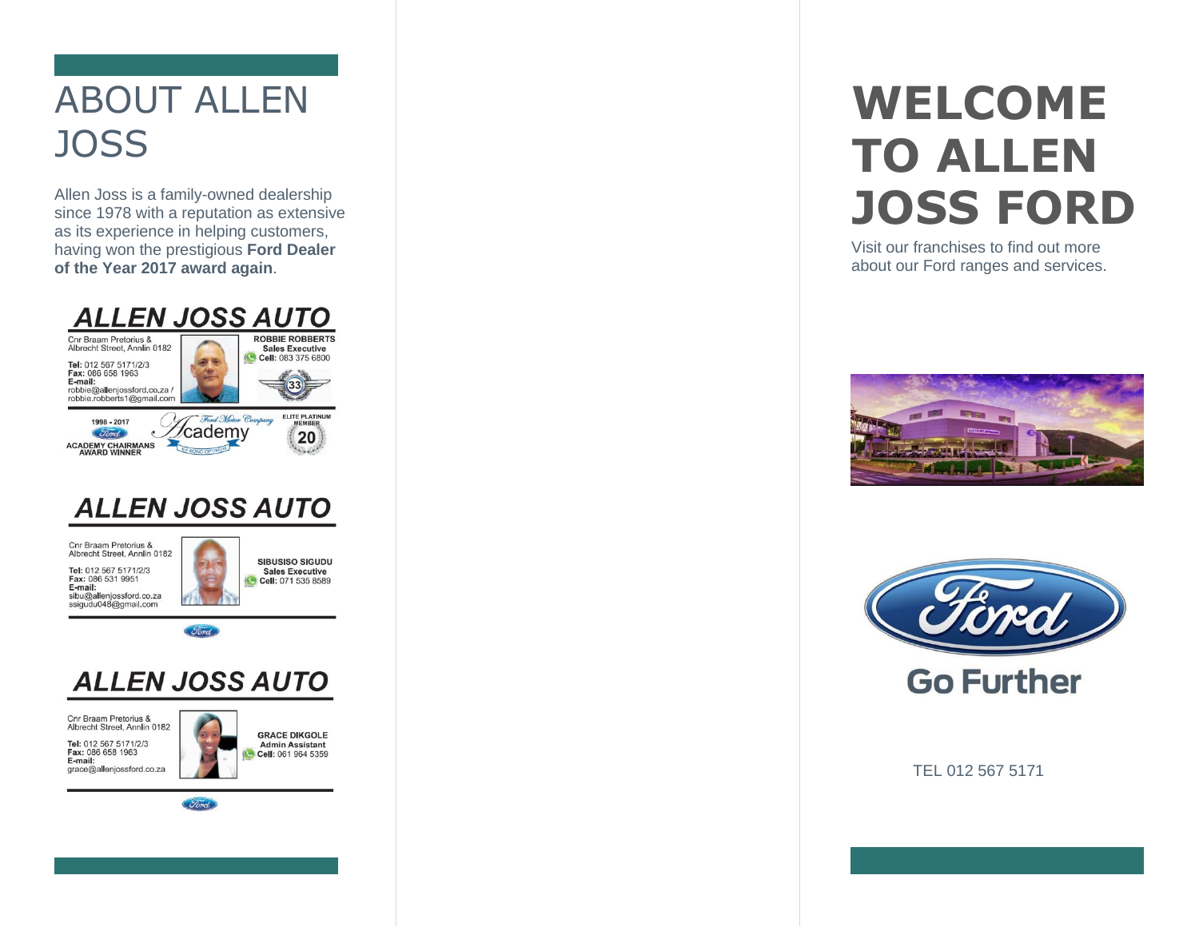## ABOUT ALLEN **JOSS**

Allen Joss is a family-owned dealership since 1978 with a reputation as extensive as its experience in helping customers, having won the prestigious **Ford Dealer of the Year 2017 award again**.



## **ALLEN JOSS AUTO**

Cnr Braam Pretorius & Albrecht Street, Annlin 0182

Tel: 012 567 5171/2/3 Fax: 086 531 9951 E-mail: sibu@allenjossford.co.za ssigudu048@gmail.com



*Ford* 

## **ALLEN JOSS AUTO**

Cnr Braam Pretorius & Albrecht Street, Annlin 0182 Tel: 012 567 5171/2/3<br>Fax: 086 658 1963 E-mail: grace@allenjossford.co.za

**GRACE DIKGOLE Admin Assistant** Cell: 061 964 5359

*Ford* 

# **WELCOME TO ALLEN JOSS FORD**

Visit our franchises to find out more about our Ford ranges and services.





**Go Further** 

TEL 012 567 5171